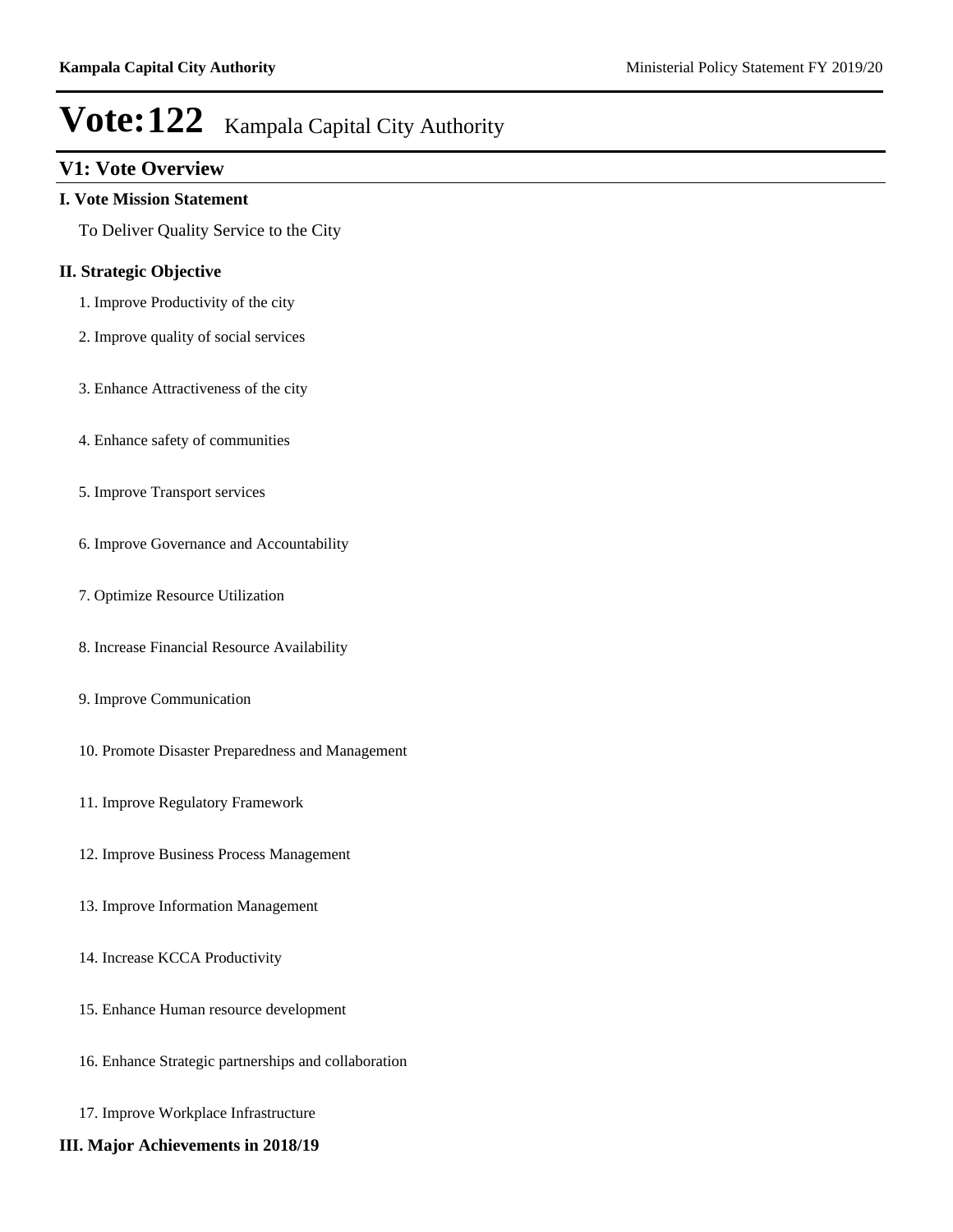## **V1: Vote Overview**

#### **I. Vote Mission Statement**

To Deliver Quality Service to the City

#### **II. Strategic Objective**

- 1. Improve Productivity of the city
- 2. Improve quality of social services
- 3. Enhance Attractiveness of the city
- 4. Enhance safety of communities
- 5. Improve Transport services
- 6. Improve Governance and Accountability
- 7. Optimize Resource Utilization
- 8. Increase Financial Resource Availability
- 9. Improve Communication
- 10. Promote Disaster Preparedness and Management
- 11. Improve Regulatory Framework
- 12. Improve Business Process Management
- 13. Improve Information Management
- 14. Increase KCCA Productivity
- 15. Enhance Human resource development
- 16. Enhance Strategic partnerships and collaboration
- 17. Improve Workplace Infrastructure
- **III. Major Achievements in 2018/19**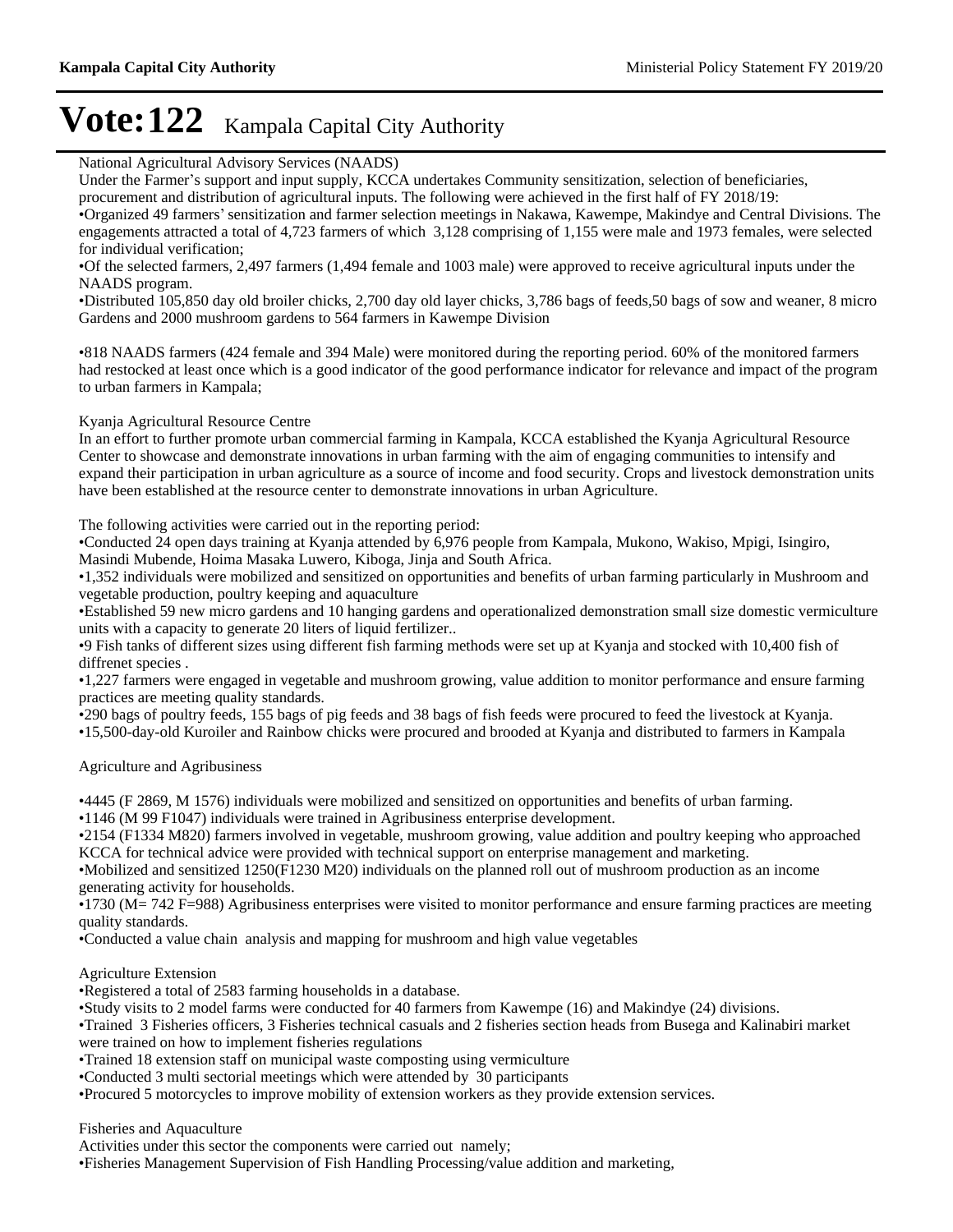National Agricultural Advisory Services (NAADS)

Under the Farmer's support and input supply, KCCA undertakes Community sensitization, selection of beneficiaries, procurement and distribution of agricultural inputs. The following were achieved in the first half of FY 2018/19:

Organized 49 farmers¶sensitization and farmer selection meetings in Nakawa, Kawempe, Makindye and Central Divisions. The engagements attracted a total of 4,723 farmers of which 3,128 comprising of 1,155 were male and 1973 females, were selected for individual verification;

Of the selected farmers, 2,497 farmers (1,494 female and 1003 male) were approved to receive agricultural inputs under the NAADS program.

Distributed 105,850 day old broiler chicks, 2,700 day old layer chicks, 3,786 bags of feeds,50 bags of sow and weaner, 8 micro Gardens and 2000 mushroom gardens to 564 farmers in Kawempe Division

818 NAADS farmers (424 female and 394 Male) were monitored during the reporting period. 60% of the monitored farmers had restocked at least once which is a good indicator of the good performance indicator for relevance and impact of the program to urban farmers in Kampala;

#### Kyanja Agricultural Resource Centre

In an effort to further promote urban commercial farming in Kampala, KCCA established the Kyanja Agricultural Resource Center to showcase and demonstrate innovations in urban farming with the aim of engaging communities to intensify and expand their participation in urban agriculture as a source of income and food security. Crops and livestock demonstration units have been established at the resource center to demonstrate innovations in urban Agriculture.

The following activities were carried out in the reporting period:

Conducted 24 open days training at Kyanja attended by 6,976 people from Kampala, Mukono, Wakiso, Mpigi, Isingiro, Masindi Mubende, Hoima Masaka Luwero, Kiboga, Jinja and South Africa.

1,352 individuals were mobilized and sensitized on opportunities and benefits of urban farming particularly in Mushroom and vegetable production, poultry keeping and aquaculture

Established 59 new micro gardens and 10 hanging gardens and operationalized demonstration small size domestic vermiculture units with a capacity to generate 20 liters of liquid fertilizer..

9 Fish tanks of different sizes using different fish farming methods were set up at Kyanja and stocked with 10,400 fish of diffrenet species .

1,227 farmers were engaged in vegetable and mushroom growing, value addition to monitor performance and ensure farming practices are meeting quality standards.

290 bags of poultry feeds, 155 bags of pig feeds and 38 bags of fish feeds were procured to feed the livestock at Kyanja.

15,500-day-old Kuroiler and Rainbow chicks were procured and brooded at Kyanja and distributed to farmers in Kampala

Agriculture and Agribusiness

4445 (F 2869, M 1576) individuals were mobilized and sensitized on opportunities and benefits of urban farming.

1146 (M 99 F1047) individuals were trained in Agribusiness enterprise development.

2154 (F1334 M820) farmers involved in vegetable, mushroom growing, value addition and poultry keeping who approached KCCA for technical advice were provided with technical support on enterprise management and marketing.

Mobilized and sensitized 1250(F1230 M20) individuals on the planned roll out of mushroom production as an income generating activity for households.

 $\cdot$ 1730 (M= 742 F=988) Agribusiness enterprises were visited to monitor performance and ensure farming practices are meeting quality standards.

Conducted a value chain analysis and mapping for mushroom and high value vegetables

Agriculture Extension

Registered a total of 2583 farming households in a database.

Study visits to 2 model farms were conducted for 40 farmers from Kawempe (16) and Makindye (24) divisions.

Trained 3 Fisheries officers, 3 Fisheries technical casuals and 2 fisheries section heads from Busega and Kalinabiri market were trained on how to implement fisheries regulations

Trained 18 extension staff on municipal waste composting using vermiculture

Conducted 3 multi sectorial meetings which were attended by 30 participants

Procured 5 motorcycles to improve mobility of extension workers as they provide extension services.

Fisheries and Aquaculture

Activities under this sector the components were carried out namely;

Fisheries Management Supervision of Fish Handling Processing/value addition and marketing,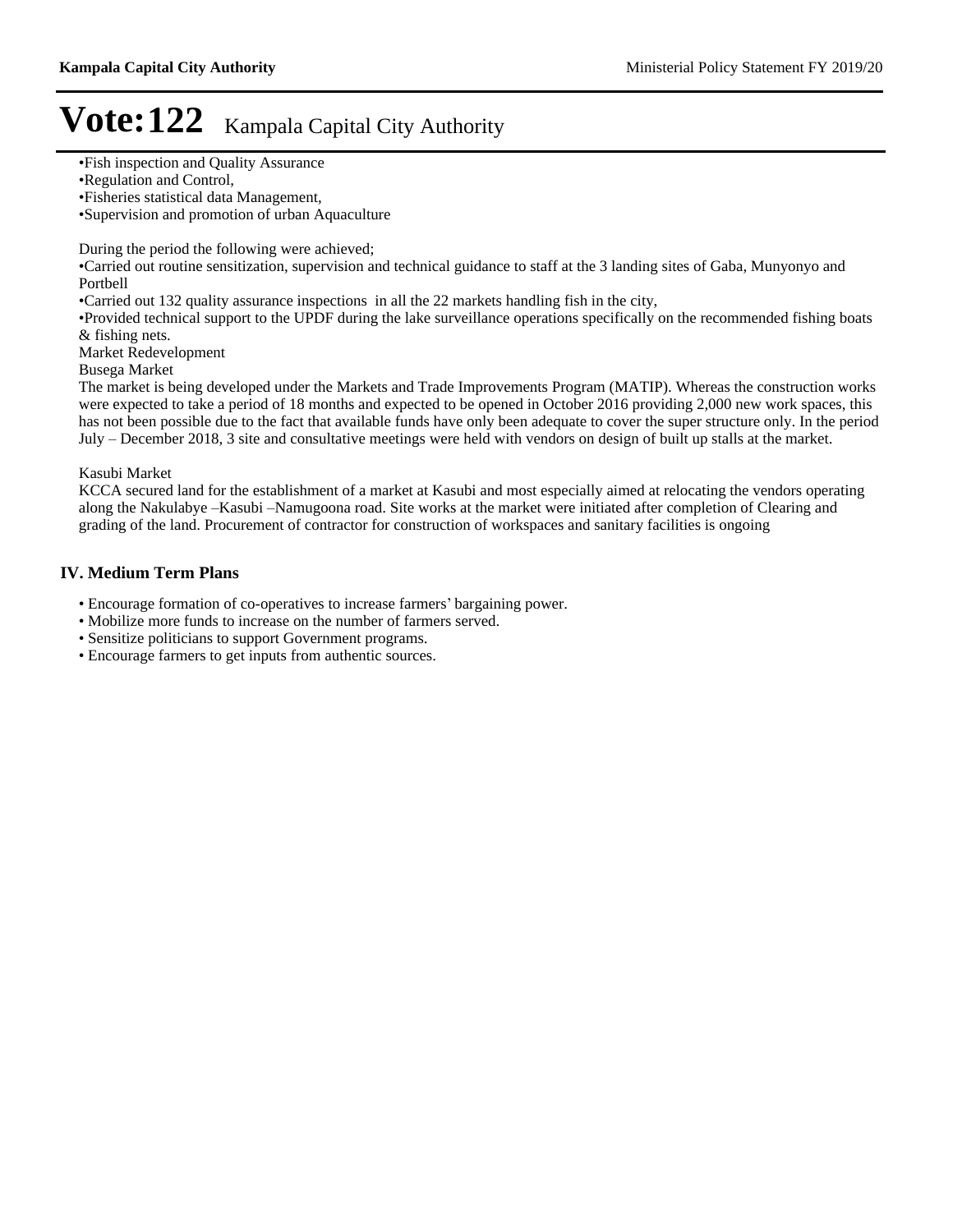Supervision and promotion of urban Aquaculture

During the period the following were achieved;

Carried out routine sensitization, supervision and technical guidance to staff at the 3 landing sites of Gaba, Munyonyo and Portbell

Carried out 132 quality assurance inspections in all the 22 markets handling fish in the city,

Provided technical support to the UPDF during the lake surveillance operations specifically on the recommended fishing boats & fishing nets.

Market Redevelopment

Busega Market

The market is being developed under the Markets and Trade Improvements Program (MATIP). Whereas the construction works were expected to take a period of 18 months and expected to be opened in October 2016 providing 2,000 new work spaces, this has not been possible due to the fact that available funds have only been adequate to cover the super structure only. In the period July – December 2018, 3 site and consultative meetings were held with vendors on design of built up stalls at the market.

#### Kasubi Market

KCCA secured land for the establishment of a market at Kasubi and most especially aimed at relocating the vendors operating along the Nakulabye -Kasubi -Namugoona road. Site works at the market were initiated after completion of Clearing and grading of the land. Procurement of contractor for construction of workspaces and sanitary facilities is ongoing

#### **IV. Medium Term Plans**

• Encourage formation of co-operatives to increase farmers' bargaining power.

- Mobilize more funds to increase on the number of farmers served.
- Sensitize politicians to support Government programs.
- Encourage farmers to get inputs from authentic sources.

Fish inspection and Quality Assurance

Regulation and Control,

Fisheries statistical data Management,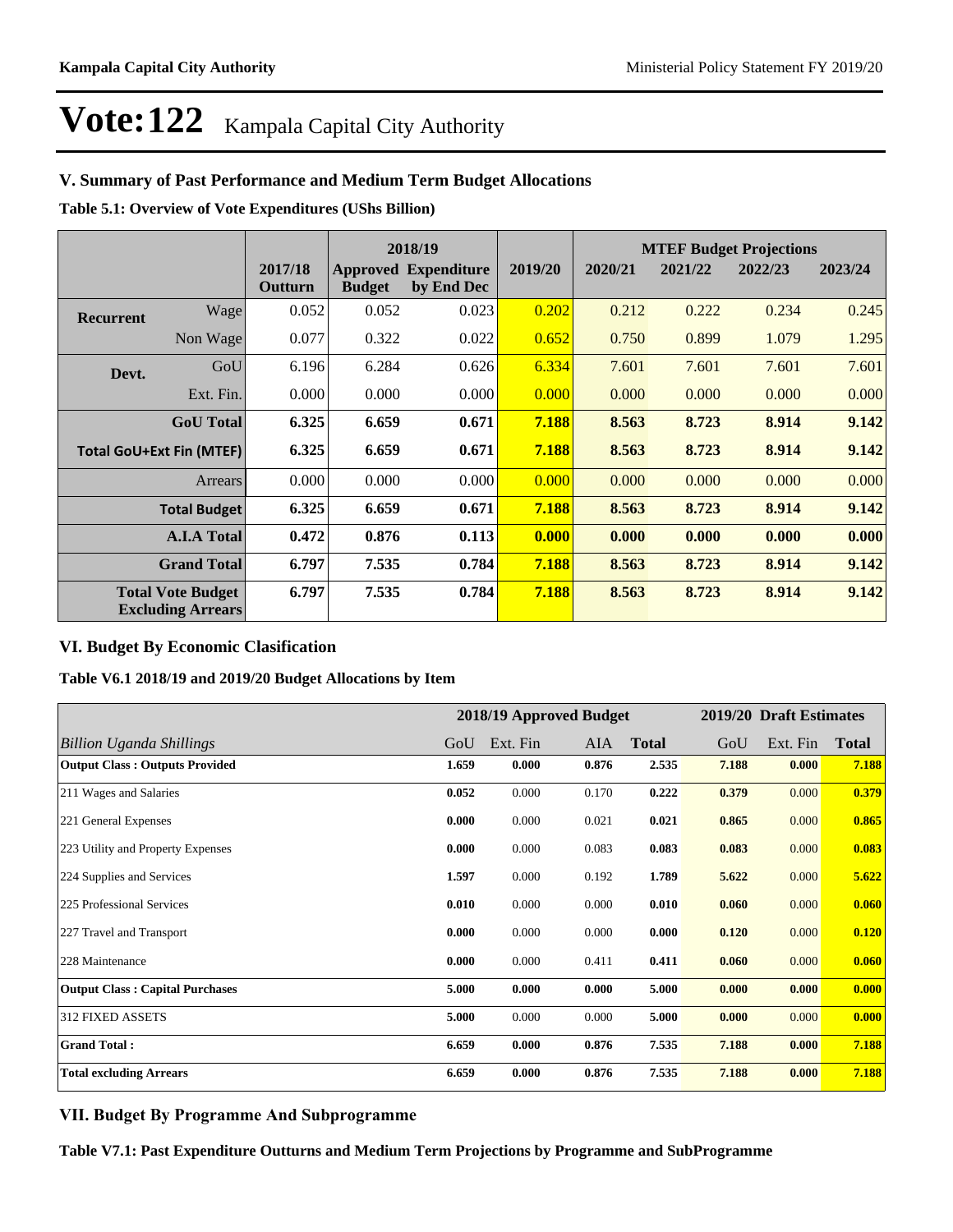### **V. Summary of Past Performance and Medium Term Budget Allocations**

**Table 5.1: Overview of Vote Expenditures (UShs Billion)**

|                                                      |                  |                    |               | 2018/19                                   |         | <b>MTEF Budget Projections</b> |         |         |         |
|------------------------------------------------------|------------------|--------------------|---------------|-------------------------------------------|---------|--------------------------------|---------|---------|---------|
|                                                      |                  | 2017/18<br>Outturn | <b>Budget</b> | <b>Approved Expenditure</b><br>by End Dec | 2019/20 | 2020/21                        | 2021/22 | 2022/23 | 2023/24 |
| <b>Recurrent</b>                                     | Wage             | 0.052              | 0.052         | 0.023                                     | 0.202   | 0.212                          | 0.222   | 0.234   | 0.245   |
|                                                      | Non Wage         | 0.077              | 0.322         | 0.022                                     | 0.652   | 0.750                          | 0.899   | 1.079   | 1.295   |
| Devt.                                                | GoU              | 6.196              | 6.284         | 0.626                                     | 6.334   | 7.601                          | 7.601   | 7.601   | 7.601   |
|                                                      | Ext. Fin.        | 0.000              | 0.000         | 0.000                                     | 0.000   | 0.000                          | 0.000   | 0.000   | 0.000   |
|                                                      | <b>GoU</b> Total | 6.325              | 6.659         | 0.671                                     | 7.188   | 8.563                          | 8.723   | 8.914   | 9.142   |
| <b>Total GoU+Ext Fin (MTEF)</b>                      |                  | 6.325              | 6.659         | 0.671                                     | 7.188   | 8.563                          | 8.723   | 8.914   | 9.142   |
| Arrears                                              |                  | 0.000              | 0.000         | 0.000                                     | 0.000   | 0.000                          | 0.000   | 0.000   | 0.000   |
| <b>Total Budget</b>                                  |                  | 6.325              | 6.659         | 0.671                                     | 7.188   | 8.563                          | 8.723   | 8.914   | 9.142   |
| <b>A.I.A Total</b>                                   |                  | 0.472              | 0.876         | 0.113                                     | 0.000   | 0.000                          | 0.000   | 0.000   | 0.000   |
| <b>Grand Total</b>                                   |                  | 6.797              | 7.535         | 0.784                                     | 7.188   | 8.563                          | 8.723   | 8.914   | 9.142   |
| <b>Total Vote Budget</b><br><b>Excluding Arrears</b> |                  | 6.797              | 7.535         | 0.784                                     | 7.188   | 8.563                          | 8.723   | 8.914   | 9.142   |

# **VI. Budget By Economic Clasification**

**Table V6.1 2018/19 and 2019/20 Budget Allocations by Item**

|                                        |       | 2018/19 Approved Budget |       |              |       | 2019/20 Draft Estimates |              |
|----------------------------------------|-------|-------------------------|-------|--------------|-------|-------------------------|--------------|
| <b>Billion Uganda Shillings</b>        | GoU   | Ext. Fin                | AIA   | <b>Total</b> | GoU   | Ext. Fin                | <b>Total</b> |
| <b>Output Class: Outputs Provided</b>  | 1.659 | 0.000                   | 0.876 | 2.535        | 7.188 | 0.000                   | 7.188        |
| 211 Wages and Salaries                 | 0.052 | 0.000                   | 0.170 | 0.222        | 0.379 | 0.000                   | 0.379        |
| 221 General Expenses                   | 0.000 | 0.000                   | 0.021 | 0.021        | 0.865 | 0.000                   | 0.865        |
| 223 Utility and Property Expenses      | 0.000 | 0.000                   | 0.083 | 0.083        | 0.083 | 0.000                   | 0.083        |
| 224 Supplies and Services              | 1.597 | 0.000                   | 0.192 | 1.789        | 5.622 | 0.000                   | 5.622        |
| 225 Professional Services              | 0.010 | 0.000                   | 0.000 | 0.010        | 0.060 | 0.000                   | 0.060        |
| 227 Travel and Transport               | 0.000 | 0.000                   | 0.000 | 0.000        | 0.120 | 0.000                   | 0.120        |
| 228 Maintenance                        | 0.000 | 0.000                   | 0.411 | 0.411        | 0.060 | 0.000                   | 0.060        |
| <b>Output Class: Capital Purchases</b> | 5.000 | 0.000                   | 0.000 | 5.000        | 0.000 | 0.000                   | 0.000        |
| 312 FIXED ASSETS                       | 5.000 | 0.000                   | 0.000 | 5.000        | 0.000 | 0.000                   | 0.000        |
| <b>Grand Total:</b>                    | 6.659 | 0.000                   | 0.876 | 7.535        | 7.188 | 0.000                   | 7.188        |
| <b>Total excluding Arrears</b>         | 6.659 | 0.000                   | 0.876 | 7.535        | 7.188 | 0.000                   | 7.188        |

### **VII. Budget By Programme And Subprogramme**

**Table V7.1: Past Expenditure Outturns and Medium Term Projections by Programme and SubProgramme**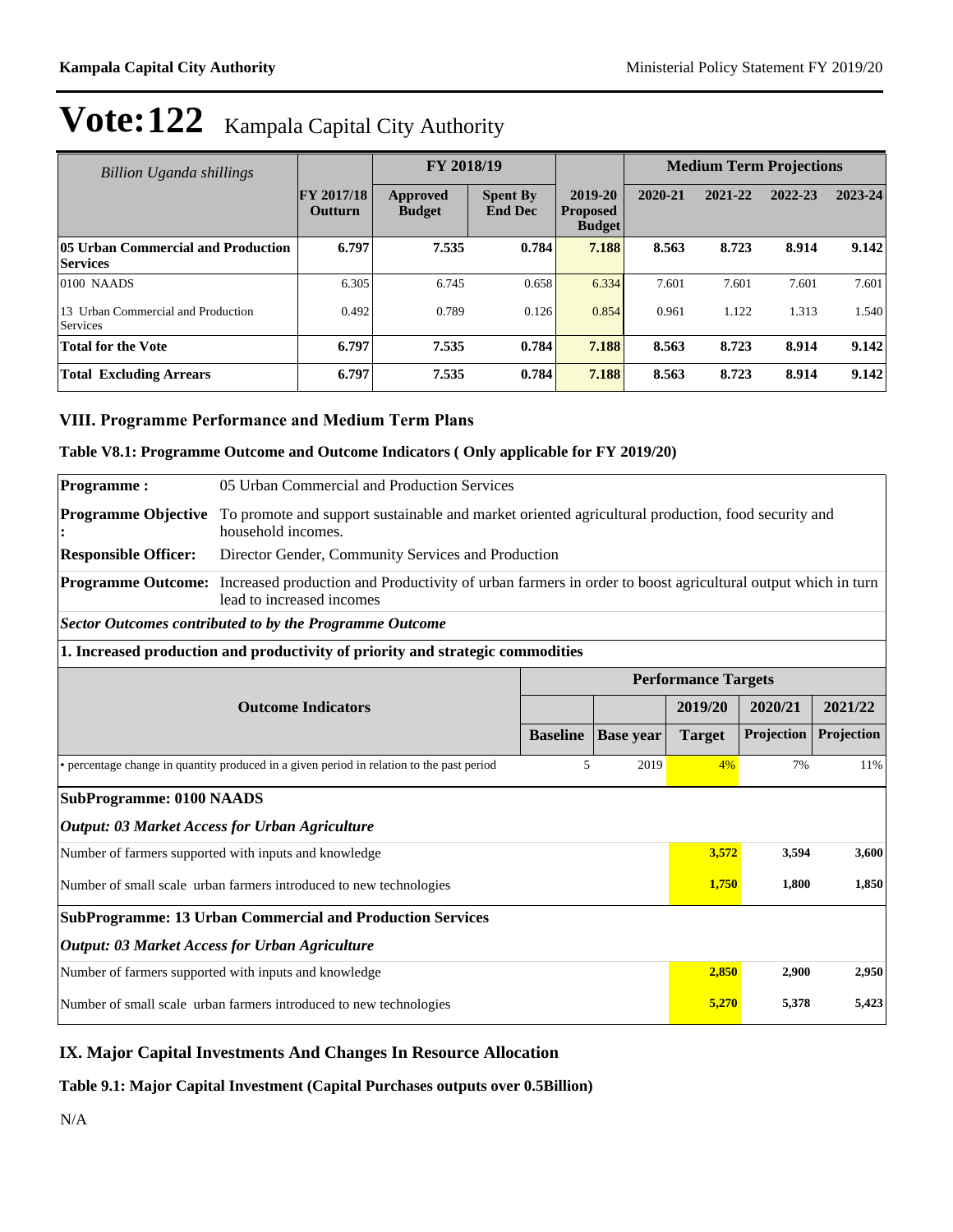| Billion Uganda shillings                              |                              | FY 2018/19                       |                                   |                                             | <b>Medium Term Projections</b> |         |         |         |
|-------------------------------------------------------|------------------------------|----------------------------------|-----------------------------------|---------------------------------------------|--------------------------------|---------|---------|---------|
|                                                       | <b>FY 2017/18</b><br>Outturn | <b>Approved</b><br><b>Budget</b> | <b>Spent By</b><br><b>End Dec</b> | 2019-20<br><b>Proposed</b><br><b>Budget</b> | 2020-21                        | 2021-22 | 2022-23 | 2023-24 |
| 05 Urban Commercial and Production<br><b>Services</b> | 6.797                        | 7.535                            | 0.784                             | 7.188                                       | 8.563                          | 8.723   | 8.914   | 9.142   |
| $0100$ NAADS                                          | 6.305                        | 6.745                            | 0.658                             | 6.334                                       | 7.601                          | 7.601   | 7.601   | 7.601   |
| 13 Urban Commercial and Production<br>Services        | 0.492                        | 0.789                            | 0.126                             | 0.854                                       | 0.961                          | 1.122   | 1.313   | 1.540   |
| <b>Total for the Vote</b>                             | 6.797                        | 7.535                            | 0.784                             | 7.188                                       | 8.563                          | 8.723   | 8.914   | 9.142   |
| <b>Total Excluding Arrears</b>                        | 6.797                        | 7.535                            | 0.784                             | 7.188                                       | 8.563                          | 8.723   | 8.914   | 9.142   |

### **VIII. Programme Performance and Medium Term Plans**

#### **Table V8.1: Programme Outcome and Outcome Indicators ( Only applicable for FY 2019/20)**

| <b>Programme:</b>                                                                                                                                                    | 05 Urban Commercial and Production Services                                    |                                                                                                   |                  |                            |            |            |  |  |
|----------------------------------------------------------------------------------------------------------------------------------------------------------------------|--------------------------------------------------------------------------------|---------------------------------------------------------------------------------------------------|------------------|----------------------------|------------|------------|--|--|
| <b>Programme Objective</b>                                                                                                                                           | household incomes.                                                             | To promote and support sustainable and market oriented agricultural production, food security and |                  |                            |            |            |  |  |
| <b>Responsible Officer:</b><br>Director Gender, Community Services and Production                                                                                    |                                                                                |                                                                                                   |                  |                            |            |            |  |  |
| <b>Programme Outcome:</b><br>Increased production and Productivity of urban farmers in order to boost agricultural output which in turn<br>lead to increased incomes |                                                                                |                                                                                                   |                  |                            |            |            |  |  |
|                                                                                                                                                                      | <b>Sector Outcomes contributed to by the Programme Outcome</b>                 |                                                                                                   |                  |                            |            |            |  |  |
|                                                                                                                                                                      | 1. Increased production and productivity of priority and strategic commodities |                                                                                                   |                  |                            |            |            |  |  |
|                                                                                                                                                                      |                                                                                |                                                                                                   |                  | <b>Performance Targets</b> |            |            |  |  |
|                                                                                                                                                                      | <b>Outcome Indicators</b>                                                      |                                                                                                   |                  | 2019/20                    | 2020/21    | 2021/22    |  |  |
|                                                                                                                                                                      |                                                                                | <b>Baseline</b>                                                                                   | <b>Base year</b> | <b>Target</b>              | Projection | Projection |  |  |
| • percentage change in quantity produced in a given period in relation to the past period                                                                            |                                                                                |                                                                                                   | 5<br>2019        | 4%                         | 7%         | 11%        |  |  |
| <b>SubProgramme: 0100 NAADS</b>                                                                                                                                      |                                                                                |                                                                                                   |                  |                            |            |            |  |  |
|                                                                                                                                                                      | <b>Output: 03 Market Access for Urban Agriculture</b>                          |                                                                                                   |                  |                            |            |            |  |  |
| Number of farmers supported with inputs and knowledge                                                                                                                |                                                                                |                                                                                                   |                  | 3,572                      | 3,594      | 3,600      |  |  |
| Number of small scale urban farmers introduced to new technologies                                                                                                   |                                                                                |                                                                                                   |                  | 1,750                      | 1,800      | 1,850      |  |  |
|                                                                                                                                                                      | <b>SubProgramme: 13 Urban Commercial and Production Services</b>               |                                                                                                   |                  |                            |            |            |  |  |
|                                                                                                                                                                      | <b>Output: 03 Market Access for Urban Agriculture</b>                          |                                                                                                   |                  |                            |            |            |  |  |
| Number of farmers supported with inputs and knowledge                                                                                                                |                                                                                |                                                                                                   |                  | 2,850                      | 2,900      | 2,950      |  |  |
| Number of small scale urban farmers introduced to new technologies                                                                                                   |                                                                                |                                                                                                   | 5,270            | 5,378                      | 5,423      |            |  |  |

### **IX. Major Capital Investments And Changes In Resource Allocation**

**Table 9.1: Major Capital Investment (Capital Purchases outputs over 0.5Billion)**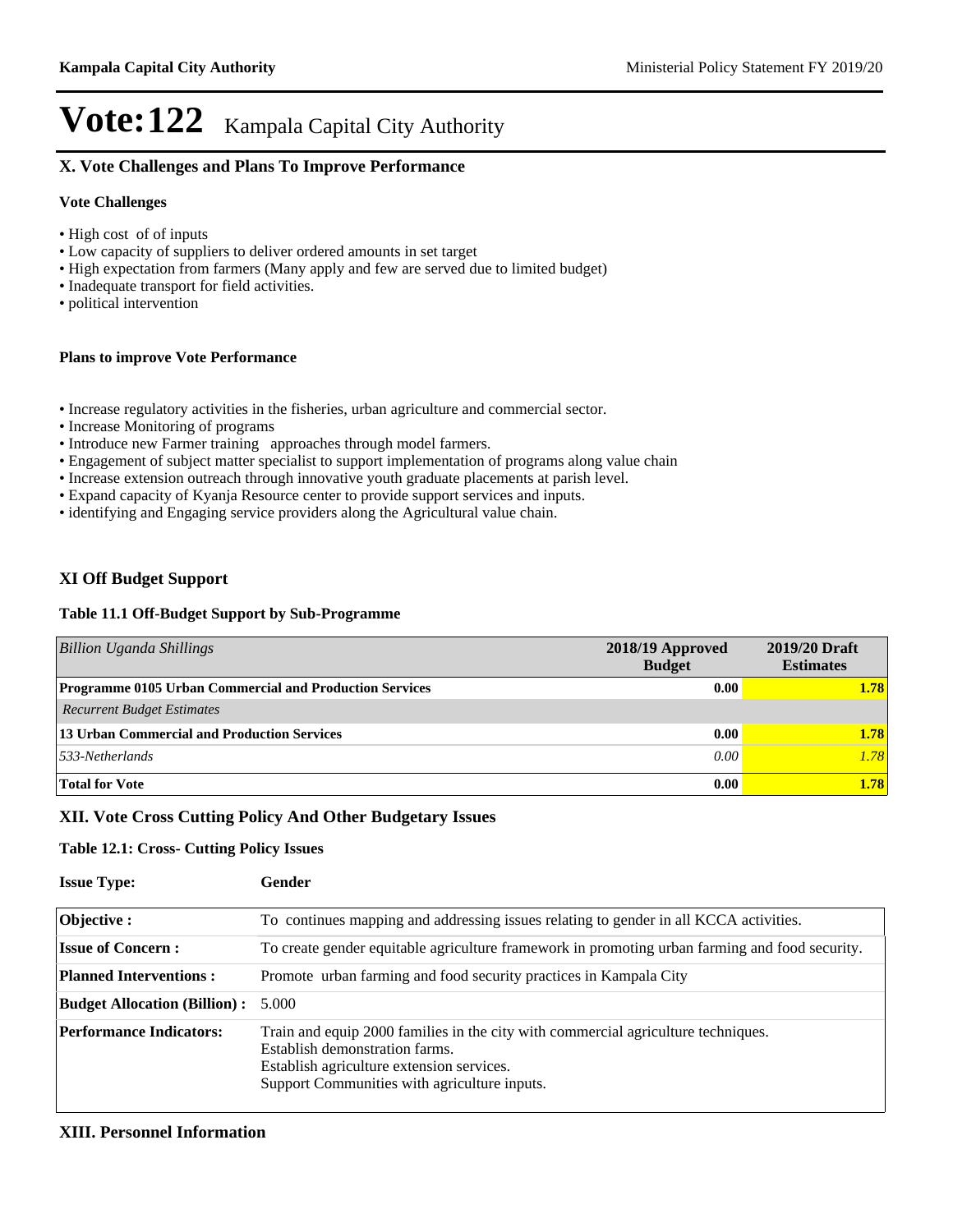### **X. Vote Challenges and Plans To Improve Performance**

#### **Vote Challenges**

- High cost of of inputs
- Low capacity of suppliers to deliver ordered amounts in set target
- $\cdot$  High expectation from farmers (Many apply and few are served due to limited budget)
- Inadequate transport for field activities.
- political intervention

#### **Plans to improve Vote Performance**

- Increase regulatory activities in the fisheries, urban agriculture and commercial sector.
- Increase Monitoring of programs
- Introduce new Farmer training approaches through model farmers.
- Engagement of subject matter specialist to support implementation of programs along value chain
- Increase extension outreach through innovative youth graduate placements at parish level.
- Expand capacity of Kyanja Resource center to provide support services and inputs.
- identifying and Engaging service providers along the Agricultural value chain.

### **XI Off Budget Support**

#### **Table 11.1 Off-Budget Support by Sub-Programme**

| <b>Billion Uganda Shillings</b>                                | 2018/19 Approved<br><b>Budget</b> | 2019/20 Draft<br><b>Estimates</b> |
|----------------------------------------------------------------|-----------------------------------|-----------------------------------|
| <b>Programme 0105 Urban Commercial and Production Services</b> | 0.00                              | 1.78                              |
| <b>Recurrent Budget Estimates</b>                              |                                   |                                   |
| 13 Urban Commercial and Production Services                    | 0.00                              | 1.78                              |
| $533-Netherlands$                                              | 0.00                              | 1.78                              |
| <b>Total for Vote</b>                                          | 0.00                              | 1.78                              |

#### **XII. Vote Cross Cutting Policy And Other Budgetary Issues**

#### **Table 12.1: Cross- Cutting Policy Issues**

| <b>Issue Type:</b>                  | Gender                                                                                                                                                                                                           |
|-------------------------------------|------------------------------------------------------------------------------------------------------------------------------------------------------------------------------------------------------------------|
| Objective:                          | To continues mapping and addressing issues relating to gender in all KCCA activities.                                                                                                                            |
| <b>Issue of Concern:</b>            | To create gender equitable agriculture framework in promoting urban farming and food security.                                                                                                                   |
| <b>Planned Interventions:</b>       | Promote urban farming and food security practices in Kampala City                                                                                                                                                |
| <b>Budget Allocation (Billion):</b> | 5.000                                                                                                                                                                                                            |
| <b>Performance Indicators:</b>      | Train and equip 2000 families in the city with commercial agriculture techniques.<br>Establish demonstration farms.<br>Establish agriculture extension services.<br>Support Communities with agriculture inputs. |

#### **XIII. Personnel Information**